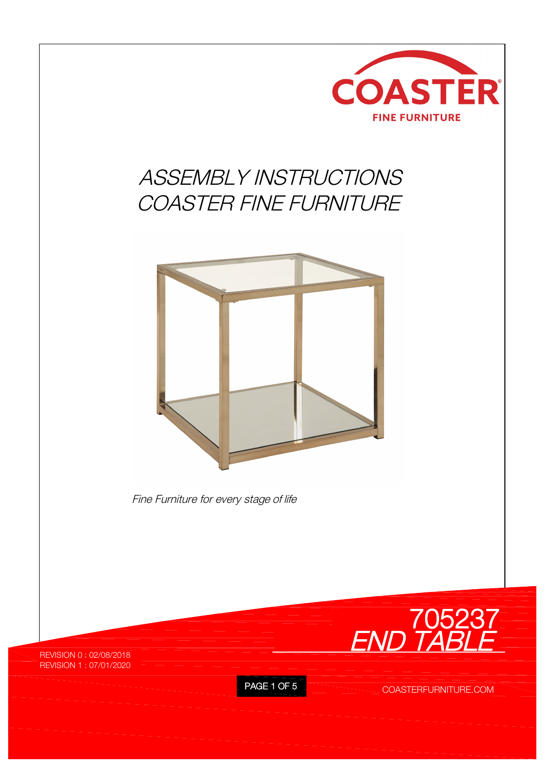

## *ASSEMBLY INSTRUCTIONS COASTER FINE FURNITURE*



*Fine Furniture for every stage of life*

*END TABLE* **705237**

REVISION 0 : 02/08/2018 REVISION 1 : 07/01/2020

PAGE 1 OF 5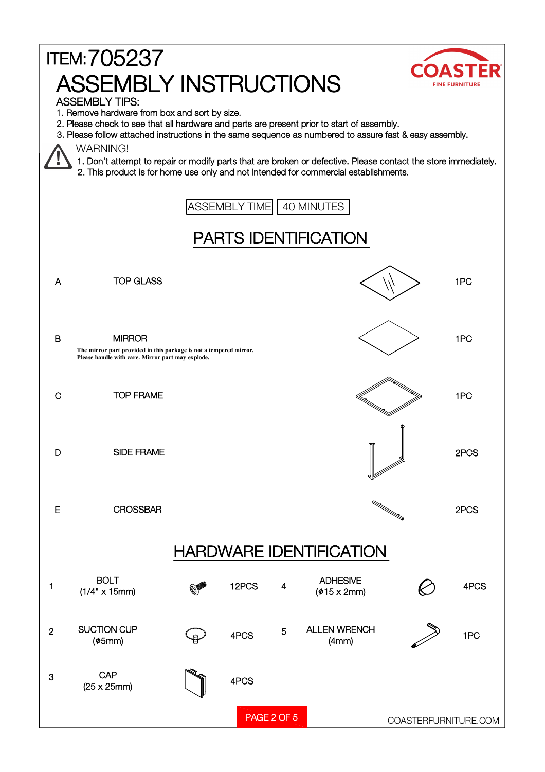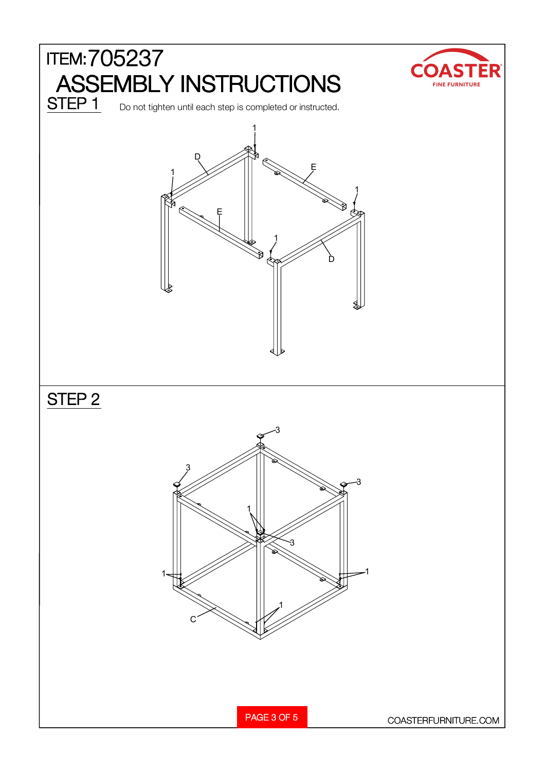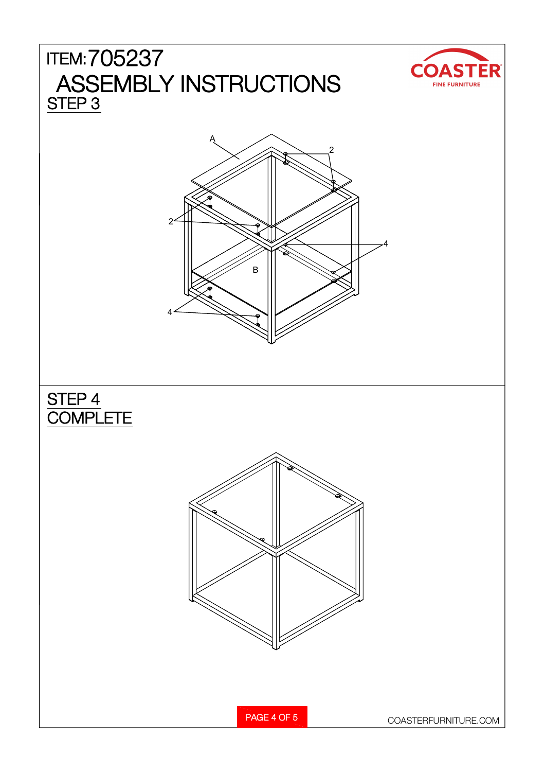